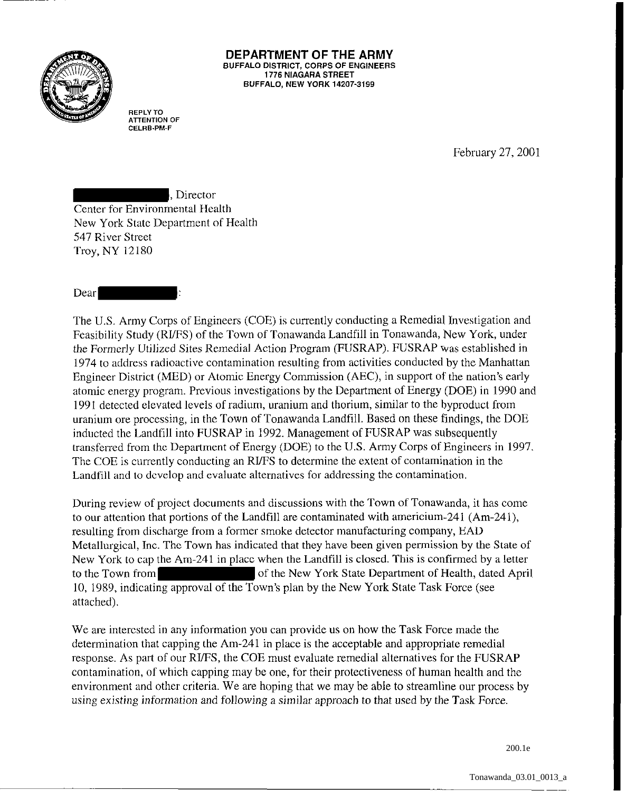

## **DEPARTMENT OF THE ARMY**  BUFFALO DISTRICT, CORPS OF ENGINEERS 1776 NIAGARA STREET BUFFALO, NEW YORK 14207·3199

**REPLY TO ATTENTION OF CELRB·PM-F** 

February 27, 2001

, Director Center for Environmental Health New York State Department of Health 547 River Street Troy, NY 12180

## Dear

The U.S. Army Corps of Engineers (COE) is currently conducting a Remedial Investigation and Feasibility Study (RI/FS) of the Town of Tonawanda Landfill in Tonawanda, New York, under the Formerly Utilized Sites Remedial Action Program (FUSRAP). FUSRAP was established in 1974 to address radioactive contamination resulting from activities conducted by the Manhattan Engineer District (MED) or Atomic Energy Commission (AEC), in support of the nation's early atomic energy program. Previous investigations by the Department of Energy (DOE) in 1990 and 1991 detected elevated levels of radium, uranium and thorium, similar to the byproduct from uranium ore processing, in the Town of Tonawanda Landfill. Based on these findings, the DOE inducted the Landfill into FUSRAP in 1992. Management of FUSRAP was subsequently transferred from the Department of Energy (DOE) to the U.S. Army Corps of Engineers in 1997. The COE is currently conducting an RI/FS to determine the extent of contamination in the Landfill and to develop and evaluate alternatives for addressing the contamination.

During review of project documents and discussions with the Town of Tonawanda, it has come to our attention that portions of the Landfill are contaminated with americium-241 (Am-241), resulting from discharge from a former smoke detector manufacturing company, EAD Metallurgical, Inc. The Town has indicated that they have been given permission by the State of New York to cap the Am-241 in place when the Landfill is closed. This is confirmed by a letter to the Town from of the New York State Department of Health, dated April 10, 1989, indicating approval of the Town's plan by the New York State Task Force (see attached).

We are interested in any information you can provide us on how the Task Force made the determination that capping the Am-241 in place is the acceptable and appropriate remedial response. As part of our RifFS, the COE must evaluate remedial alternatives for the FUSRAP contamination, of which capping may be one, for their protectiveness of human health and the environment and other criteria. We are hoping that we may be able to streamline our process by using existing information and following a similar approach to that used by the Task Force.